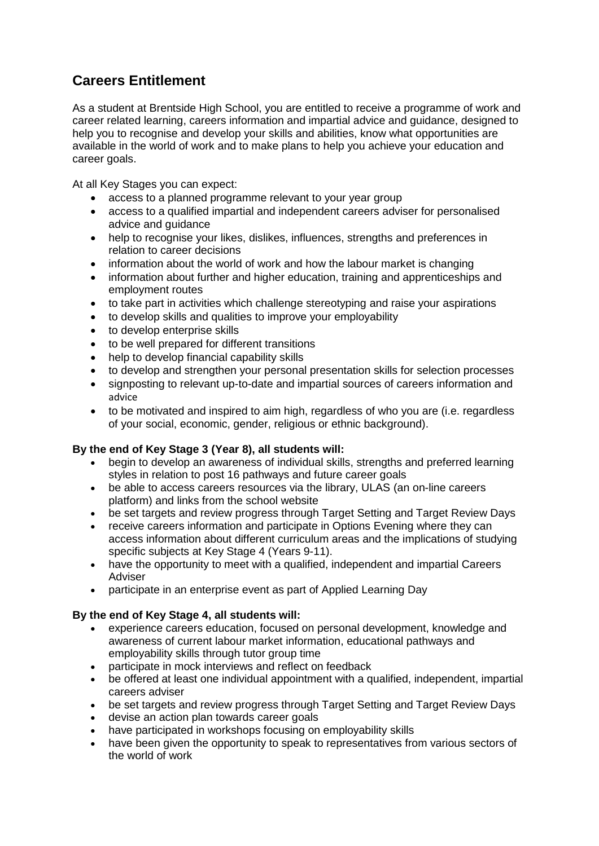## **Careers Entitlement**

As a student at Brentside High School, you are entitled to receive a programme of work and career related learning, careers information and impartial advice and guidance, designed to help you to recognise and develop your skills and abilities, know what opportunities are available in the world of work and to make plans to help you achieve your education and career goals.

At all Key Stages you can expect:

- access to a planned programme relevant to your year group
- access to a qualified impartial and independent careers adviser for personalised advice and guidance
- help to recognise your likes, dislikes, influences, strengths and preferences in relation to career decisions
- information about the world of work and how the labour market is changing
- information about further and higher education, training and apprenticeships and employment routes
- to take part in activities which challenge stereotyping and raise your aspirations
- to develop skills and qualities to improve your employability
- to develop enterprise skills
- to be well prepared for different transitions
- help to develop financial capability skills
- to develop and strengthen your personal presentation skills for selection processes
- signposting to relevant up-to-date and impartial sources of careers information and advice
- to be motivated and inspired to aim high, regardless of who you are (i.e. regardless of your social, economic, gender, religious or ethnic background).

## **By the end of Key Stage 3 (Year 8), all students will:**

- begin to develop an awareness of individual skills, strengths and preferred learning styles in relation to post 16 pathways and future career goals
- be able to access careers resources via the library, ULAS (an on-line careers platform) and links from the school website
- be set targets and review progress through Target Setting and Target Review Days
- receive careers information and participate in Options Evening where they can access information about different curriculum areas and the implications of studying specific subjects at Key Stage 4 (Years 9-11).
- have the opportunity to meet with a qualified, independent and impartial Careers Adviser
- participate in an enterprise event as part of Applied Learning Day

## **By the end of Key Stage 4, all students will:**

- experience careers education, focused on personal development, knowledge and awareness of current labour market information, educational pathways and employability skills through tutor group time
- participate in mock interviews and reflect on feedback
- be offered at least one individual appointment with a qualified, independent, impartial careers adviser
- be set targets and review progress through Target Setting and Target Review Days
- devise an action plan towards career goals
- have participated in workshops focusing on employability skills
- have been given the opportunity to speak to representatives from various sectors of the world of work